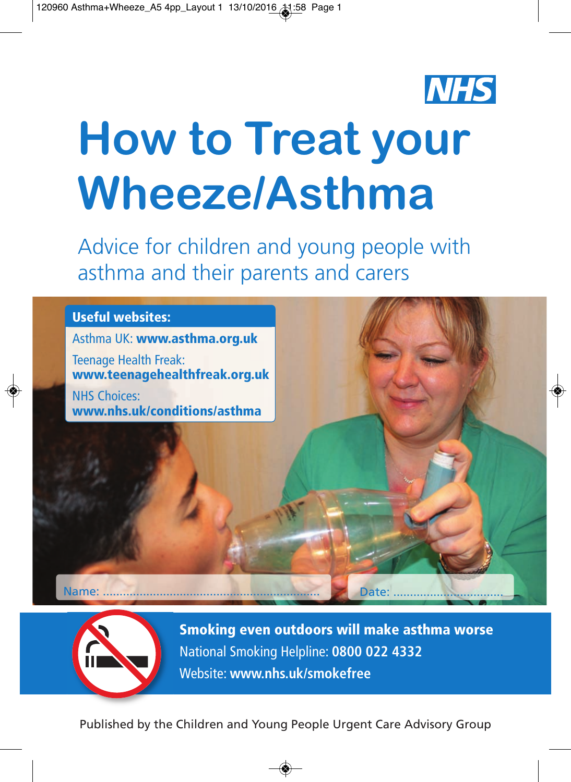

# **How to Treat your Wheeze/Asthma**

Advice for children and young people with asthma and their parents and carers

### **Useful websites:**

Asthma UK: **www.asthma.org.uk**

Teenage Health Freak: **www.teenagehealthfreak.org.uk**

NHS Choices: **www.nhs.uk/conditions/asthma**

Name: ................................................................. Date: .................................



**Smoking even outdoors will make asthma worse** National Smoking Helpline: **0800 022 4332** Website: **www.nhs.uk/smokefree**

Published by the Children and Young People Urgent Care Advisory Group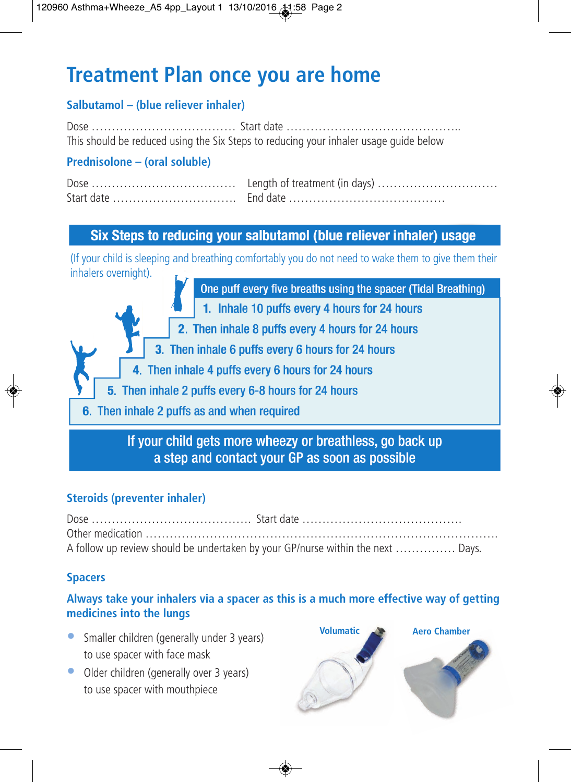# **Treatment Plan once you are home**

#### **Salbutamol – (blue reliever inhaler)**

Dose ……………………………… Start date …………………………………….. This should be reduced using the Six Steps to reducing your inhaler usage guide below

#### **Prednisolone – (oral soluble)**

#### Six Steps to reducing your salbutamol (blue reliever inhaler) usage

(If your child is sleeping and breathing comfortably you do not need to wake them to give them their inhalers overnight).

One puff every five breaths using the spacer (Tidal Breathing)

- 1. Inhale 10 puffs every 4 hours for 24 hours
- 2. Then inhale 8 puffs every 4 hours for 24 hours
- 3. Then inhale 6 puffs every 6 hours for 24 hours
- 4. Then inhale 4 puffs every 6 hours for 24 hours
- 5. Then inhale 2 puffs every 6-8 hours for 24 hours
- 6. Then inhale 2 puffs as and when required

#### If your child gets more wheezy or breathless, go back up a step and contact your GP as soon as possible

#### **Steroids (preventer inhaler)**

| A follow up review should be undertaken by your GP/nurse within the next  Days. |
|---------------------------------------------------------------------------------|

#### **Spacers**

#### **Always take your inhalers via a spacer as this is a much more effective way of getting medicines into the lungs**

- Smaller children (generally under 3 years) to use spacer with face mask
- Older children (generally over 3 years) to use spacer with mouthpiece

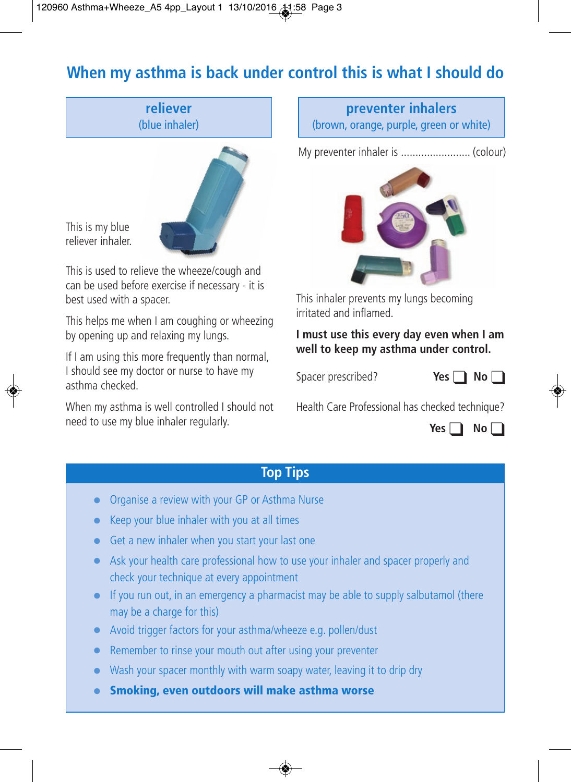# **When my asthma is back under control this is what I should do**

**reliever** (blue inhaler)



This is my blue reliever inhaler.

This is used to relieve the wheeze/cough and can be used before exercise if necessary - it is best used with a spacer.

This helps me when I am coughing or wheezing by opening up and relaxing my lungs.

If I am using this more frequently than normal, I should see my doctor or nurse to have my asthma checked.

When my asthma is well controlled I should not need to use my blue inhaler regularly.

**preventer inhalers** (brown, orange, purple, green or white)

My preventer inhaler is ........................ (colour)



This inhaler prevents my lungs becoming irritated and inflamed.

**I must use this every day even when I am well to keep my asthma under control.**

Spacer prescribed?

| ۰.<br>۰,<br>×<br>×<br>× |  |  |  |  |
|-------------------------|--|--|--|--|
|-------------------------|--|--|--|--|

Health Care Professional has checked technique?



#### **Top Tips**

- Organise a review with your GP or Asthma Nurse
- Keep your blue inhaler with you at all times
- Get a new inhaler when you start your last one
- Ask your health care professional how to use your inhaler and spacer properly and check your technique at every appointment
- If you run out, in an emergency a pharmacist may be able to supply salbutamol (there may be a charge for this)
- Avoid trigger factors for your asthma/wheeze e.g. pollen/dust
- Remember to rinse your mouth out after using your preventer
- Wash your spacer monthly with warm soapy water, leaving it to drip dry
- **Smoking, even outdoors will make asthma worse**